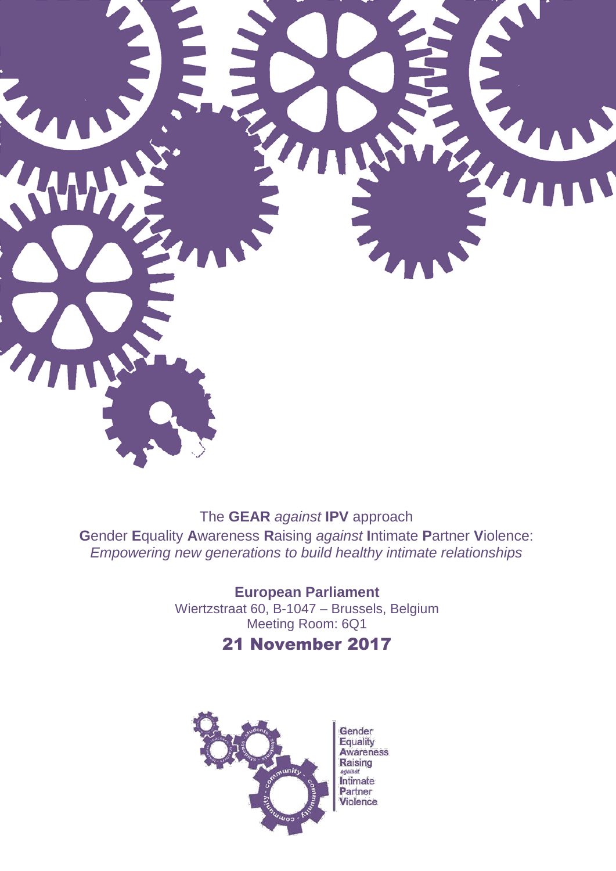

The GEAR against IPV approach **Gender Equality Awareness Raising against Intimate Partner Violence:** Empowering new generations to build healthy intimate relationships

> **European Parliament** Wiertzstraat 60, B-1047 - Brussels, Belgium Meeting Room: 6Q1

## 21 November 2017